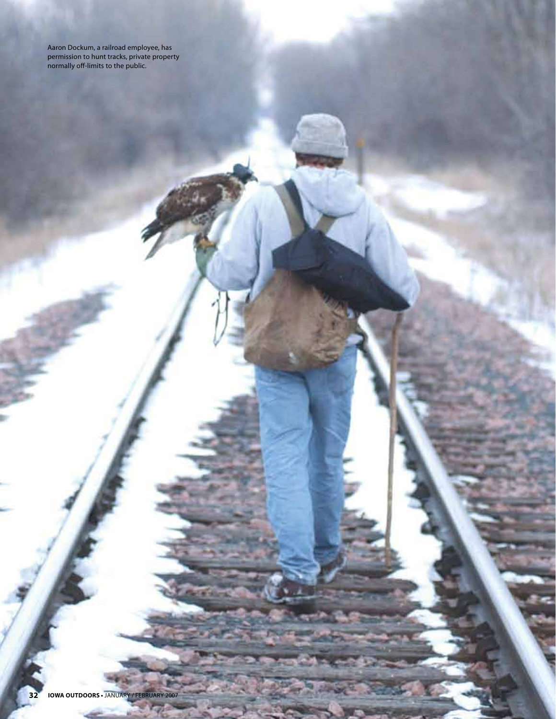Aaron Dockum, a railroad employee, has permission to hunt tracks, private property normally off-limits to the public.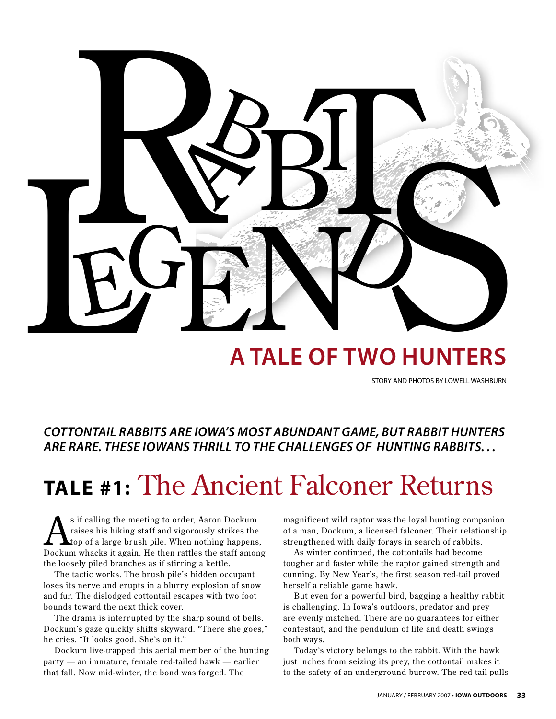

## **A tale of two hunters**

STORY AND PHOTOS BY LOWELL WASHBURN

*COTTONTAIL RABBITS ARE IOWA'S MOST ABUNDANT GAME, BUT RABBIT HUNTERS ARE RARE. THESE IOWANS THRILL TO THE CHALLENGES OF HUNTING RABBITS. . .* 

# **tale #1:** The Ancient Falconer Returns

 $\sum$ s if calling the meeting to order, Aaron Dockum<br>raises his hiking staff and vigorously strikes the<br>top of a large brush pile. When nothing happens<br>Dockum where it again. He than gattles the atoff raises his hiking staff and vigorously strikes the top of a large brush pile. When nothing happens, Dockum whacks it again. He then rattles the staff among the loosely piled branches as if stirring a kettle.

The tactic works. The brush pile's hidden occupant loses its nerve and erupts in a blurry explosion of snow and fur. The dislodged cottontail escapes with two foot bounds toward the next thick cover.

The drama is interrupted by the sharp sound of bells. Dockum's gaze quickly shifts skyward. "There she goes," he cries. "It looks good. She's on it."

Dockum live-trapped this aerial member of the hunting party — an immature, female red-tailed hawk — earlier that fall. Now mid-winter, the bond was forged. The

magnificent wild raptor was the loyal hunting companion of a man, Dockum, a licensed falconer. Their relationship strengthened with daily forays in search of rabbits.

As winter continued, the cottontails had become tougher and faster while the raptor gained strength and cunning. By New Year's, the first season red-tail proved herself a reliable game hawk.

But even for a powerful bird, bagging a healthy rabbit is challenging. In Iowa's outdoors, predator and prey are evenly matched. There are no guarantees for either contestant, and the pendulum of life and death swings both ways.

Today's victory belongs to the rabbit. With the hawk just inches from seizing its prey, the cottontail makes it to the safety of an underground burrow. The red-tail pulls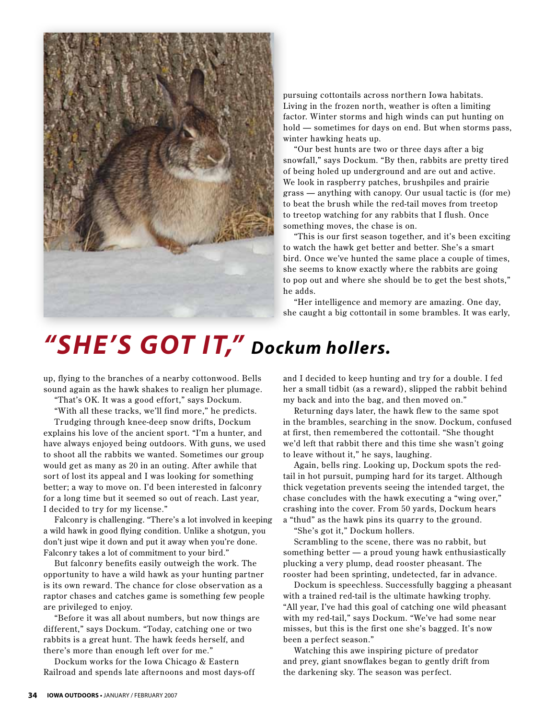

pursuing cottontails across northern Iowa habitats. Living in the frozen north, weather is often a limiting factor. Winter storms and high winds can put hunting on hold — sometimes for days on end. But when storms pass, winter hawking heats up.

"Our best hunts are two or three days after a big snowfall," says Dockum. "By then, rabbits are pretty tired of being holed up underground and are out and active. We look in raspberry patches, brushpiles and prairie grass — anything with canopy. Our usual tactic is (for me) to beat the brush while the red-tail moves from treetop to treetop watching for any rabbits that I flush. Once something moves, the chase is on.

"This is our first season together, and it's been exciting to watch the hawk get better and better. She's a smart bird. Once we've hunted the same place a couple of times, she seems to know exactly where the rabbits are going to pop out and where she should be to get the best shots," he adds.

"Her intelligence and memory are amazing. One day, she caught a big cottontail in some brambles. It was early,

# *"She's got it," Dockum hollers.*

up, flying to the branches of a nearby cottonwood. Bells sound again as the hawk shakes to realign her plumage.

"That's OK. It was a good effort," says Dockum.

"With all these tracks, we'll find more," he predicts.

Trudging through knee-deep snow drifts, Dockum explains his love of the ancient sport. "I'm a hunter, and have always enjoyed being outdoors. With guns, we used to shoot all the rabbits we wanted. Sometimes our group would get as many as 20 in an outing. After awhile that sort of lost its appeal and I was looking for something better; a way to move on. I'd been interested in falconry for a long time but it seemed so out of reach. Last year, I decided to try for my license."

Falconry is challenging. "There's a lot involved in keeping a wild hawk in good flying condition. Unlike a shotgun, you don't just wipe it down and put it away when you're done. Falconry takes a lot of commitment to your bird."

But falconry benefits easily outweigh the work. The opportunity to have a wild hawk as your hunting partner is its own reward. The chance for close obser vation as a raptor chases and catches game is something few people are privileged to enjoy.

"Before it was all about numbers, but now things are different," says Dockum. "Today, catching one or two rabbits is a great hunt. The hawk feeds herself, and there's more than enough left over for me."

Dockum works for the Iowa Chicago & Eastern Railroad and spends late afternoons and most days-off

and I decided to keep hunting and try for a double. I fed her a small tidbit (as a reward), slipped the rabbit behind my back and into the bag, and then moved on."

Returning days later, the hawk flew to the same spot in the brambles, searching in the snow. Dockum, confused at first, then remembered the cottontail. "She thought we'd left that rabbit there and this time she wasn't going to leave without it," he says, laughing.

Again, bells ring. Looking up, Dockum spots the redtail in hot pursuit, pumping hard for its target. Although thick vegetation prevents seeing the intended target, the chase concludes with the hawk executing a "wing over," crashing into the cover. From 50 yards, Dockum hears a "thud" as the hawk pins its quarry to the ground.

"She's got it," Dockum hollers.

Scrambling to the scene, there was no rabbit, but something better — a proud young hawk enthusiastically plucking a very plump, dead rooster pheasant. The rooster had been sprinting, undetected, far in advance.

Dockum is speechless. Successfully bagging a pheasant with a trained red-tail is the ultimate hawking trophy. "All year, I've had this goal of catching one wild pheasant with my red-tail," says Dockum. "We've had some near misses, but this is the first one she's bagged. It's now been a perfect season."

Watching this awe inspiring picture of predator and prey, giant snowflakes began to gently drift from the darkening sky. The season was perfect.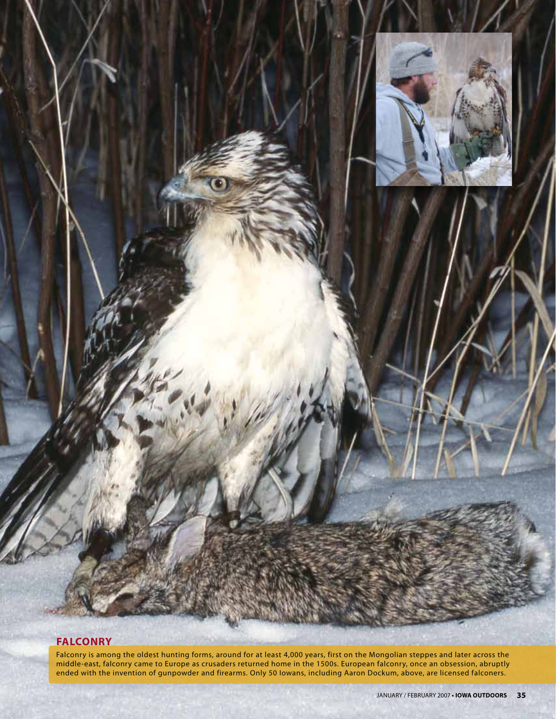

## **Falconry**

Falconry is among the oldest hunting forms, around for at least 4,000 years, first on the Mongolian steppes and later across the middle-east, falconry came to Europe as crusaders returned home in the 1500s. European falconry, once an obsession, abruptly ended with the invention of gunpowder and firearms. Only 50 Iowans, including Aaron Dockum, above, are licensed falconers.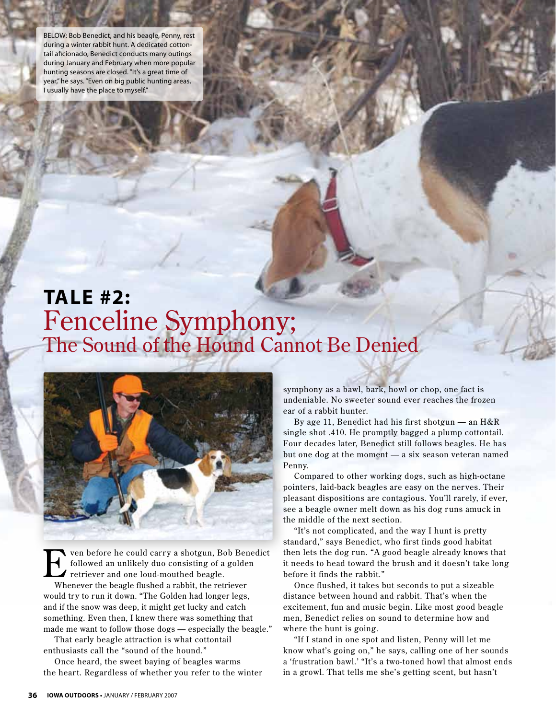BELOW: Bob Benedict, and his beagle, Penny, rest during a winter rabbit hunt. A dedicated cottontail aficionado, Benedict conducts many outings during January and February when more popular hunting seasons are closed. "It's a great time of year," he says. "Even on big public hunting areas, I usually have the place to myself."

## **tale #2:** Fenceline Symphony; The Sound of the Hound Cannot Be Denied



ven before he could carry a shotgun, Bob Benedict followed an unlikely duo consisting of a golden retriever and one loud-mouthed beagle.

Whenever the beagle flushed a rabbit, the retriever would try to run it down. "The Golden had longer legs, and if the snow was deep, it might get lucky and catch something. Even then, I knew there was something that made me want to follow those dogs — especially the beagle."

That early beagle attraction is what cottontail enthusiasts call the "sound of the hound."

Once heard, the sweet baying of beagles warms the heart. Regardless of whether you refer to the winter

symphony as a bawl, bark, howl or chop, one fact is undeniable. No sweeter sound ever reaches the frozen ear of a rabbit hunter.

By age 11, Benedict had his first shotgun — an H&R single shot .410. He promptly bagged a plump cottontail. Four decades later, Benedict still follows beagles. He has but one dog at the moment — a six season veteran named Penny.

Compared to other working dogs, such as high-octane pointers, laid-back beagles are easy on the nerves. Their pleasant dispositions are contagious. You'll rarely, if ever, see a beagle owner melt down as his dog runs amuck in the middle of the next section.

"It's not complicated, and the way I hunt is pretty standard," says Benedict, who first finds good habitat then lets the dog run. "A good beagle already knows that it needs to head toward the brush and it doesn't take long before it finds the rabbit."

Once flushed, it takes but seconds to put a sizeable distance between hound and rabbit. That's when the excitement, fun and music begin. Like most good beagle men, Benedict relies on sound to determine how and where the hunt is going.

"If I stand in one spot and listen, Penny will let me know what's going on," he says, calling one of her sounds a 'frustration bawl.' "It's a two-toned howl that almost ends in a growl. That tells me she's getting scent, but hasn't